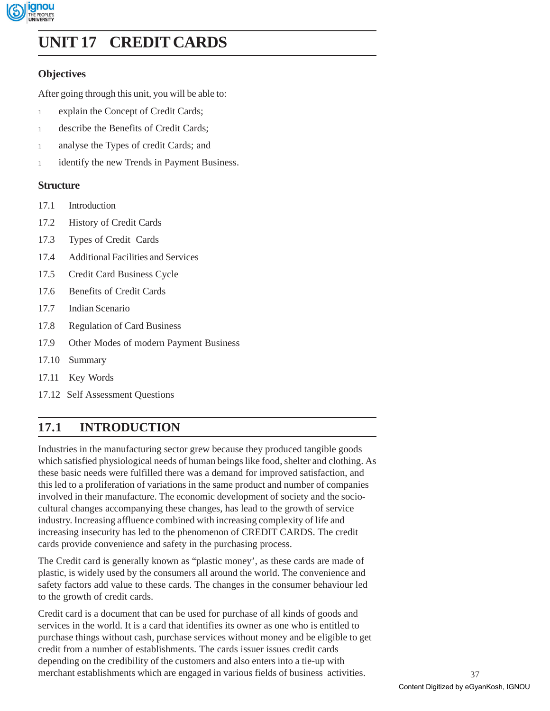

# **Credit Cards UNIT 17 CREDIT CARDS**

# **Objectives**

After going through this unit, you will be able to:

- 1 explain the Concept of Credit Cards;
- 1 describe the Benefits of Credit Cards;
- 1 analyse the Types of credit Cards; and
- 1 identify the new Trends in Payment Business.

# **Structure**

- 17.1 Introduction
- 17.2 History of Credit Cards
- 17.3 Types of Credit Cards
- 17.4 Additional Facilities and Services
- 17.5 Credit Card Business Cycle
- 17.6 Benefits of Credit Cards
- 17.7 Indian Scenario
- 17.8 Regulation of Card Business
- 17.9 Other Modes of modern Payment Business
- 17.10 Summary
- 17.11 Key Words
- 17.12 Self Assessment Questions

# **17.1 INTRODUCTION**

Industries in the manufacturing sector grew because they produced tangible goods which satisfied physiological needs of human beings like food, shelter and clothing. As these basic needs were fulfilled there was a demand for improved satisfaction, and this led to a proliferation of variations in the same product and number of companies involved in their manufacture. The economic development of society and the sociocultural changes accompanying these changes, has lead to the growth of service industry. Increasing affluence combined with increasing complexity of life and increasing insecurity has led to the phenomenon of CREDIT CARDS. The credit cards provide convenience and safety in the purchasing process.

The Credit card is generally known as "plastic money', as these cards are made of plastic, is widely used by the consumers all around the world. The convenience and safety factors add value to these cards. The changes in the consumer behaviour led to the growth of credit cards.

Credit card is a document that can be used for purchase of all kinds of goods and services in the world. It is a card that identifies its owner as one who is entitled to purchase things without cash, purchase services without money and be eligible to get credit from a number of establishments. The cards issuer issues credit cards depending on the credibility of the customers and also enters into a tie-up with merchant establishments which are engaged in various fields of business activities.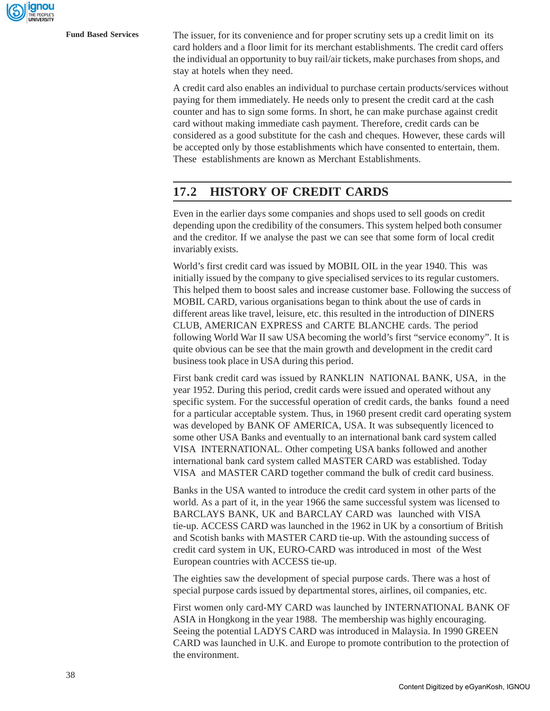**Fund Based Services** The issuer, for its convenience and for proper scrutiny sets up a credit limit on its card holders and a floor limit for its merchant establishments. The credit card offers the individual an opportunity to buy rail/air tickets, make purchases from shops, and stay at hotels when they need.

> A credit card also enables an individual to purchase certain products/services without paying for them immediately. He needs only to present the credit card at the cash counter and has to sign some forms. In short, he can make purchase against credit card without making immediate cash payment. Therefore, credit cards can be considered as a good substitute for the cash and cheques. However, these cards will be accepted only by those establishments which have consented to entertain, them. These establishments are known as Merchant Establishments.

# **17.2 HISTORY OF CREDIT CARDS**

Even in the earlier days some companies and shops used to sell goods on credit depending upon the credibility of the consumers. This system helped both consumer and the creditor. If we analyse the past we can see that some form of local credit invariably exists.

World's first credit card was issued by MOBIL OIL in the year 1940. This was initially issued by the company to give specialised services to its regular customers. This helped them to boost sales and increase customer base. Following the success of MOBIL CARD, various organisations began to think about the use of cards in different areas like travel, leisure, etc. this resulted in the introduction of DINERS CLUB, AMERICAN EXPRESS and CARTE BLANCHE cards. The period following World War II saw USA becoming the world's first "service economy". It is quite obvious can be see that the main growth and development in the credit card business took place in USA during this period.

First bank credit card was issued by RANKLIN NATIONAL BANK, USA, in the year 1952. During this period, credit cards were issued and operated without any specific system. For the successful operation of credit cards, the banks found a need for a particular acceptable system. Thus, in 1960 present credit card operating system was developed by BANK OF AMERICA, USA. It was subsequently licenced to some other USA Banks and eventually to an international bank card system called VISA INTERNATIONAL. Other competing USA banks followed and another international bank card system called MASTER CARD was established. Today VISA and MASTER CARD together command the bulk of credit card business.

Banks in the USA wanted to introduce the credit card system in other parts of the world. As a part of it, in the year 1966 the same successful system was licensed to BARCLAYS BANK, UK and BARCLAY CARD was launched with VISA tie-up. ACCESS CARD was launched in the 1962 in UK by a consortium of British and Scotish banks with MASTER CARD tie-up. With the astounding success of credit card system in UK, EURO-CARD was introduced in most of the West European countries with ACCESS tie-up.

The eighties saw the development of special purpose cards. There was a host of special purpose cards issued by departmental stores, airlines, oil companies, etc.

First women only card-MY CARD was launched by INTERNATIONAL BANK OF ASIA in Hongkong in the year 1988. The membership was highly encouraging. Seeing the potential LADYS CARD was introduced in Malaysia. In 1990 GREEN CARD was launched in U.K. and Europe to promote contribution to the protection of the environment.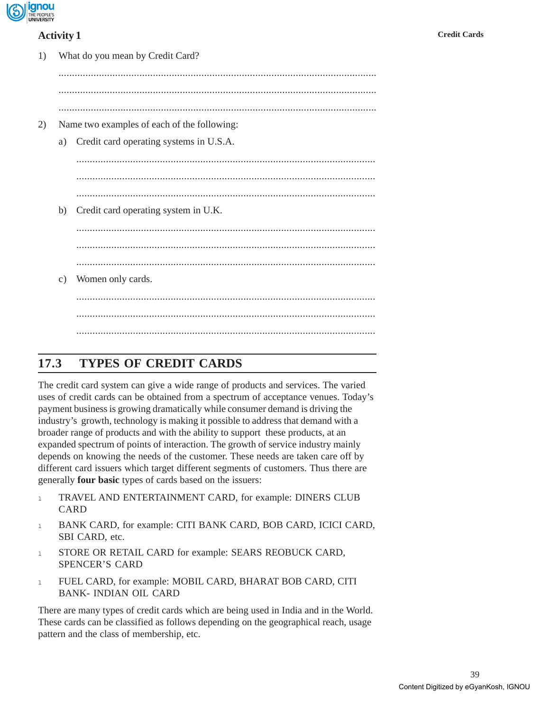

# **Activity 1 Credit Cards**

| 1) |    | What do you mean by Credit Card?            |
|----|----|---------------------------------------------|
|    |    |                                             |
|    |    |                                             |
|    |    |                                             |
| 2) |    | Name two examples of each of the following: |
|    | a) | Credit card operating systems in U.S.A.     |
|    |    |                                             |
|    |    |                                             |
|    |    |                                             |
|    | b) | Credit card operating system in U.K.        |
|    |    |                                             |
|    |    |                                             |
|    |    |                                             |
|    | c) | Women only cards.                           |
|    |    |                                             |
|    |    |                                             |
|    |    |                                             |
|    |    |                                             |

# **17.3 TYPES OF CREDIT CARDS**

The credit card system can give a wide range of products and services. The varied uses of credit cards can be obtained from a spectrum of acceptance venues. Today's payment business is growing dramatically while consumer demand is driving the industry's growth, technology is making it possible to address that demand with a broader range of products and with the ability to support these products, at an expanded spectrum of points of interaction. The growth of service industry mainly depends on knowing the needs of the customer. These needs are taken care off by different card issuers which target different segments of customers. Thus there are generally **four basic** types of cards based on the issuers:

- 1 TRAVEL AND ENTERTAINMENT CARD, for example: DINERS CLUB CARD
- 1 BANK CARD, for example: CITI BANK CARD, BOB CARD, ICICI CARD, SBI CARD, etc.
- 1 STORE OR RETAIL CARD for example: SEARS REOBUCK CARD, SPENCER'S CARD
- 1 FUEL CARD, for example: MOBIL CARD, BHARAT BOB CARD, CITI BANK- INDIAN OIL CARD

There are many types of credit cards which are being used in India and in the World. These cards can be classified as follows depending on the geographical reach, usage pattern and the class of membership, etc.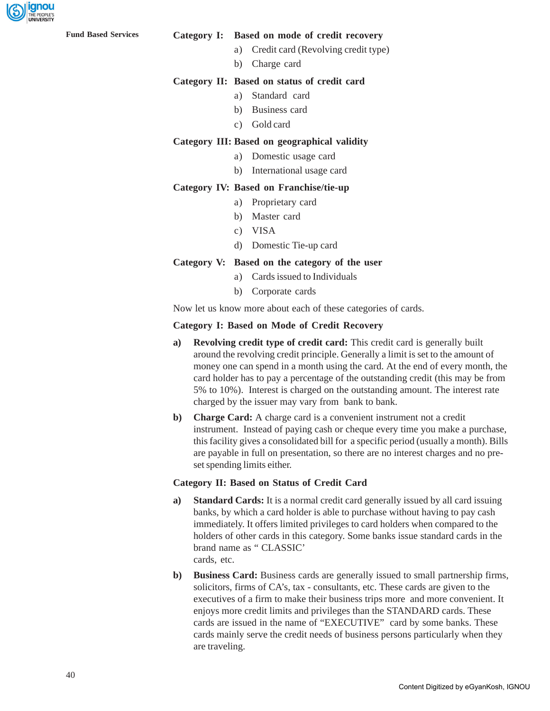

## **Fund Based Services Category I: Based on mode of credit recovery**

- a) Credit card (Revolving credit type)
- b) Charge card

## **Category II: Based on status of credit card**

- a) Standard card
- b) Business card
- c) Gold card

## **Category III: Based on geographical validity**

- a) Domestic usage card
- b) International usage card

#### **Category IV: Based on Franchise/tie-up**

- a) Proprietary card
- b) Master card
- c) VISA
- d) Domestic Tie-up card

#### **Category V: Based on the category of the user**

- a) Cards issued to Individuals
- b) Corporate cards

Now let us know more about each of these categories of cards.

#### **Category I: Based on Mode of Credit Recovery**

- **a) Revolving credit type of credit card:** This credit card is generally built around the revolving credit principle. Generally a limit is set to the amount of money one can spend in a month using the card. At the end of every month, the card holder has to pay a percentage of the outstanding credit (this may be from 5% to 10%). Interest is charged on the outstanding amount. The interest rate charged by the issuer may vary from bank to bank.
- **b) Charge Card:** A charge card is a convenient instrument not a credit instrument. Instead of paying cash or cheque every time you make a purchase, this facility gives a consolidated bill for a specific period (usually a month). Bills are payable in full on presentation, so there are no interest charges and no preset spending limits either.

#### **Category II: Based on Status of Credit Card**

- **a) Standard Cards:** It is a normal credit card generally issued by all card issuing banks, by which a card holder is able to purchase without having to pay cash immediately. It offers limited privileges to card holders when compared to the holders of other cards in this category. Some banks issue standard cards in the brand name as " CLASSIC' cards, etc.
- **b) Business Card:** Business cards are generally issued to small partnership firms, solicitors, firms of CA's, tax - consultants, etc. These cards are given to the executives of a firm to make their business trips more and more convenient. It enjoys more credit limits and privileges than the STANDARD cards. These cards are issued in the name of "EXECUTIVE" card by some banks. These cards mainly serve the credit needs of business persons particularly when they are traveling.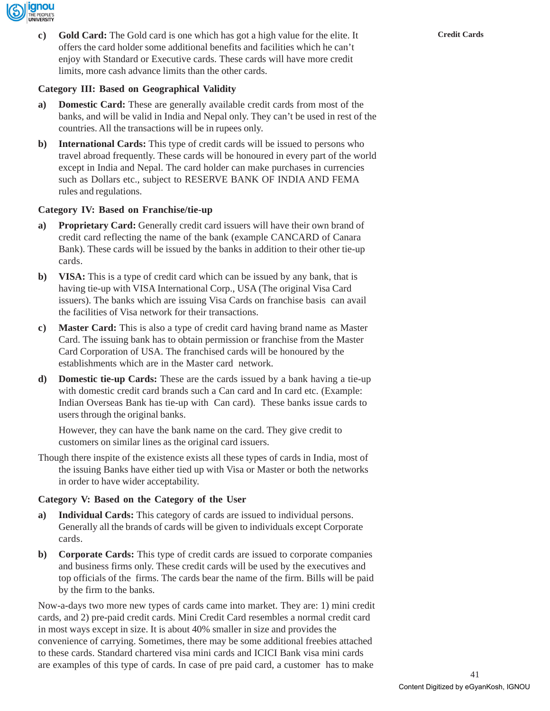

**c)** Gold Card: The Gold card is one which has got a high value for the elite. It **Credit Cards** offers the card holder some additional benefits and facilities which he can't enjoy with Standard or Executive cards. These cards will have more credit limits, more cash advance limits than the other cards.

## **Category III: Based on Geographical Validity**

- **a) Domestic Card:** These are generally available credit cards from most of the banks, and will be valid in India and Nepal only. They can't be used in rest of the countries. All the transactions will be in rupees only.
- **b) International Cards:** This type of credit cards will be issued to persons who travel abroad frequently. These cards will be honoured in every part of the world except in India and Nepal. The card holder can make purchases in currencies such as Dollars etc., subject to RESERVE BANK OF INDIA AND FEMA rules and regulations.

## **Category IV: Based on Franchise/tie-up**

- **a) Proprietary Card:** Generally credit card issuers will have their own brand of credit card reflecting the name of the bank (example CANCARD of Canara Bank). These cards will be issued by the banks in addition to their other tie-up cards.
- **b)** VISA: This is a type of credit card which can be issued by any bank, that is having tie-up with VISA International Corp., USA (The original Visa Card issuers). The banks which are issuing Visa Cards on franchise basis can avail the facilities of Visa network for their transactions.
- **c) Master Card:** This is also a type of credit card having brand name as Master Card. The issuing bank has to obtain permission or franchise from the Master Card Corporation of USA. The franchised cards will be honoured by the establishments which are in the Master card network.
- **d) Domestic tie-up Cards:** These are the cards issued by a bank having a tie-up with domestic credit card brands such a Can card and In card etc. (Example: Indian Overseas Bank has tie-up with Can card). These banks issue cards to users through the original banks.

However, they can have the bank name on the card. They give credit to customers on similar lines as the original card issuers.

Though there inspite of the existence exists all these types of cards in India, most of the issuing Banks have either tied up with Visa or Master or both the networks in order to have wider acceptability.

#### **Category V: Based on the Category of the User**

- **a) Individual Cards:** This category of cards are issued to individual persons. Generally all the brands of cards will be given to individuals except Corporate cards.
- **b) Corporate Cards:** This type of credit cards are issued to corporate companies and business firms only. These credit cards will be used by the executives and top officials of the firms. The cards bear the name of the firm. Bills will be paid by the firm to the banks.

Now-a-days two more new types of cards came into market. They are: 1) mini credit cards, and 2) pre-paid credit cards. Mini Credit Card resembles a normal credit card in most ways except in size. It is about 40% smaller in size and provides the convenience of carrying. Sometimes, there may be some additional freebies attached to these cards. Standard chartered visa mini cards and ICICI Bank visa mini cards are examples of this type of cards. In case of pre paid card, a customer has to make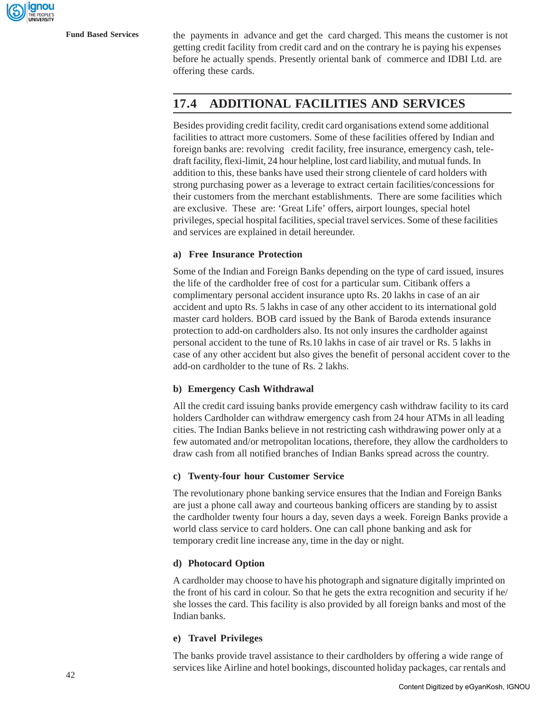

**Fund Based Services** the payments in advance and get the card charged. This means the customer is not getting credit facility from credit card and on the contrary he is paying his expenses before he actually spends. Presently oriental bank of commerce and IDBI Ltd. are offering these cards.

# **17.4 ADDITIONAL FACILITIES AND SERVICES**

Besides providing credit facility, credit card organisations extend some additional facilities to attract more customers. Some of these facilities offered by Indian and foreign banks are: revolving credit facility, free insurance, emergency cash, teledraft facility, flexi-limit, 24 hour helpline, lost card liability, and mutual funds. In addition to this, these banks have used their strong clientele of card holders with strong purchasing power as a leverage to extract certain facilities/concessions for their customers from the merchant establishments. There are some facilities which are exclusive. These are: 'Great Life' offers, airport lounges, special hotel privileges, special hospital facilities, special travel services. Some of these facilities and services are explained in detail hereunder.

## **a) Free Insurance Protection**

Some of the Indian and Foreign Banks depending on the type of card issued, insures the life of the cardholder free of cost for a particular sum. Citibank offers a complimentary personal accident insurance upto Rs. 20 lakhs in case of an air accident and upto Rs. 5 lakhs in case of any other accident to its international gold master card holders. BOB card issued by the Bank of Baroda extends insurance protection to add-on cardholders also. Its not only insures the cardholder against personal accident to the tune of Rs.10 lakhs in case of air travel or Rs. 5 lakhs in case of any other accident but also gives the benefit of personal accident cover to the add-on cardholder to the tune of Rs. 2 lakhs.

## **b) Emergency Cash Withdrawal**

All the credit card issuing banks provide emergency cash withdraw facility to its card holders Cardholder can withdraw emergency cash from 24 hour ATMs in all leading cities. The Indian Banks believe in not restricting cash withdrawing power only at a few automated and/or metropolitan locations, therefore, they allow the cardholders to draw cash from all notified branches of Indian Banks spread across the country.

#### **c) Twenty-four hour Customer Service**

The revolutionary phone banking service ensures that the Indian and Foreign Banks are just a phone call away and courteous banking officers are standing by to assist the cardholder twenty four hours a day, seven days a week. Foreign Banks provide a world class service to card holders. One can call phone banking and ask for temporary credit line increase any, time in the day or night.

#### **d) Photocard Option**

A cardholder may choose to have his photograph and signature digitally imprinted on the front of his card in colour. So that he gets the extra recognition and security if he/ she losses the card. This facility is also provided by all foreign banks and most of the Indian banks.

#### **e) Travel Privileges**

The banks provide travel assistance to their cardholders by offering a wide range of services like Airline and hotel bookings, discounted holiday packages, car rentals and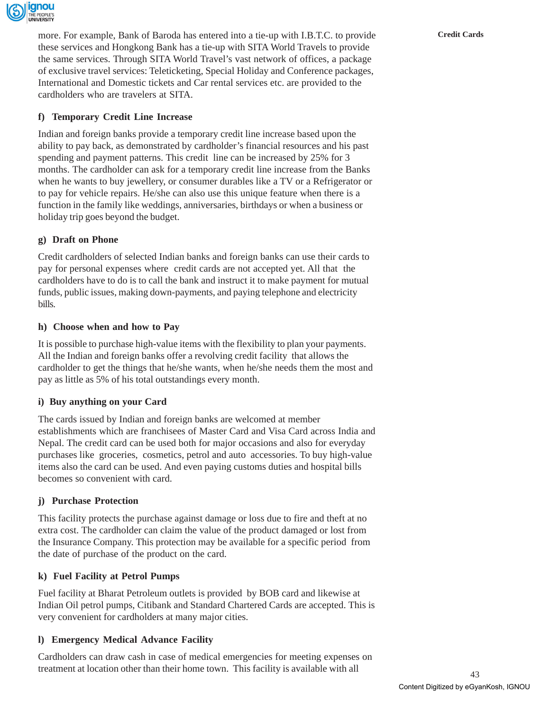

more. For example, Bank of Baroda has entered into a tie-up with I.B.T.C. to provide **Credit Cards** these services and Hongkong Bank has a tie-up with SITA World Travels to provide the same services. Through SITA World Travel's vast network of offices, a package of exclusive travel services: Teleticketing, Special Holiday and Conference packages, International and Domestic tickets and Car rental services etc. are provided to the cardholders who are travelers at SITA.

# **f) Temporary Credit Line Increase**

Indian and foreign banks provide a temporary credit line increase based upon the ability to pay back, as demonstrated by cardholder's financial resources and his past spending and payment patterns. This credit line can be increased by 25% for 3 months. The cardholder can ask for a temporary credit line increase from the Banks when he wants to buy jewellery, or consumer durables like a TV or a Refrigerator or to pay for vehicle repairs. He/she can also use this unique feature when there is a function in the family like weddings, anniversaries, birthdays or when a business or holiday trip goes beyond the budget.

# **g) Draft on Phone**

Credit cardholders of selected Indian banks and foreign banks can use their cards to pay for personal expenses where credit cards are not accepted yet. All that the cardholders have to do is to call the bank and instruct it to make payment for mutual funds, public issues, making down-payments, and paying telephone and electricity bills.

# **h) Choose when and how to Pay**

It is possible to purchase high-value items with the flexibility to plan your payments. All the Indian and foreign banks offer a revolving credit facility that allows the cardholder to get the things that he/she wants, when he/she needs them the most and pay as little as 5% of his total outstandings every month.

# **i) Buy anything on your Card**

The cards issued by Indian and foreign banks are welcomed at member establishments which are franchisees of Master Card and Visa Card across India and Nepal. The credit card can be used both for major occasions and also for everyday purchases like groceries, cosmetics, petrol and auto accessories. To buy high-value items also the card can be used. And even paying customs duties and hospital bills becomes so convenient with card.

# **j) Purchase Protection**

This facility protects the purchase against damage or loss due to fire and theft at no extra cost. The cardholder can claim the value of the product damaged or lost from the Insurance Company. This protection may be available for a specific period from the date of purchase of the product on the card.

# **k) Fuel Facility at Petrol Pumps**

Fuel facility at Bharat Petroleum outlets is provided by BOB card and likewise at Indian Oil petrol pumps, Citibank and Standard Chartered Cards are accepted. This is very convenient for cardholders at many major cities.

# **l) Emergency Medical Advance Facility**

Cardholders can draw cash in case of medical emergencies for meeting expenses on treatment at location other than their home town. This facility is available with all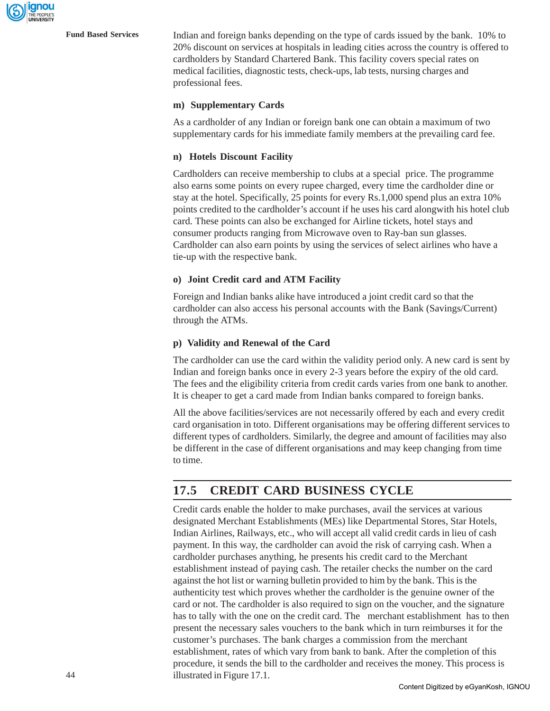

**Fund Based Services** Indian and foreign banks depending on the type of cards issued by the bank. 10% to 20% discount on services at hospitals in leading cities across the country is offered to cardholders by Standard Chartered Bank. This facility covers special rates on medical facilities, diagnostic tests, check-ups, lab tests, nursing charges and professional fees.

#### **m) Supplementary Cards**

As a cardholder of any Indian or foreign bank one can obtain a maximum of two supplementary cards for his immediate family members at the prevailing card fee.

#### **n) Hotels Discount Facility**

Cardholders can receive membership to clubs at a special price. The programme also earns some points on every rupee charged, every time the cardholder dine or stay at the hotel. Specifically, 25 points for every Rs.1,000 spend plus an extra 10% points credited to the cardholder's account if he uses his card alongwith his hotel club card. These points can also be exchanged for Airline tickets, hotel stays and consumer products ranging from Microwave oven to Ray-ban sun glasses. Cardholder can also earn points by using the services of select airlines who have a tie-up with the respective bank.

#### **o) Joint Credit card and ATM Facility**

Foreign and Indian banks alike have introduced a joint credit card so that the cardholder can also access his personal accounts with the Bank (Savings/Current) through the ATMs.

#### **p) Validity and Renewal of the Card**

The cardholder can use the card within the validity period only. A new card is sent by Indian and foreign banks once in every 2-3 years before the expiry of the old card. The fees and the eligibility criteria from credit cards varies from one bank to another. It is cheaper to get a card made from Indian banks compared to foreign banks.

All the above facilities/services are not necessarily offered by each and every credit card organisation in toto. Different organisations may be offering different services to different types of cardholders. Similarly, the degree and amount of facilities may also be different in the case of different organisations and may keep changing from time to time.

# **17.5 CREDIT CARD BUSINESS CYCLE**

Credit cards enable the holder to make purchases, avail the services at various designated Merchant Establishments (MEs) like Departmental Stores, Star Hotels, Indian Airlines, Railways, etc., who will accept all valid credit cards in lieu of cash payment. In this way, the cardholder can avoid the risk of carrying cash. When a cardholder purchases anything, he presents his credit card to the Merchant establishment instead of paying cash. The retailer checks the number on the card against the hot list or warning bulletin provided to him by the bank. This is the authenticity test which proves whether the cardholder is the genuine owner of the card or not. The cardholder is also required to sign on the voucher, and the signature has to tally with the one on the credit card. The merchant establishment has to then present the necessary sales vouchers to the bank which in turn reimburses it for the customer's purchases. The bank charges a commission from the merchant establishment, rates of which vary from bank to bank. After the completion of this procedure, it sends the bill to the cardholder and receives the money. This process is illustrated in Figure 17.1.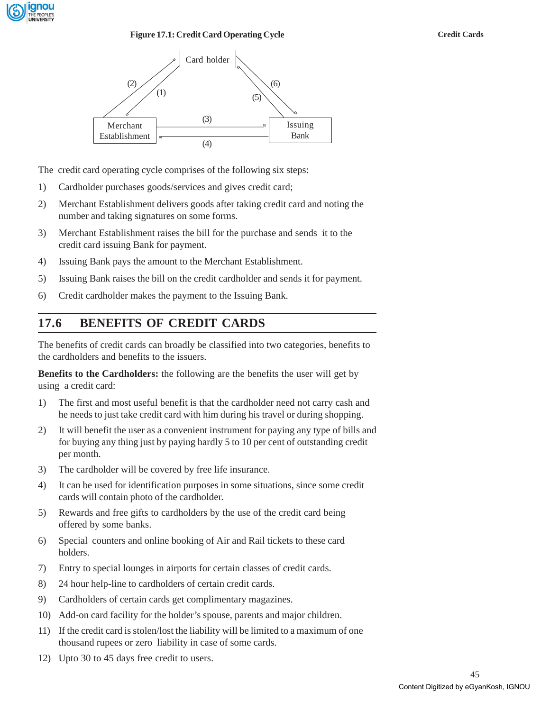

## **Figure 17.1: Credit Card Operating Cycle**



The credit card operating cycle comprises of the following six steps:

- 1) Cardholder purchases goods/services and gives credit card;
- 2) Merchant Establishment delivers goods after taking credit card and noting the number and taking signatures on some forms.
- 3) Merchant Establishment raises the bill for the purchase and sends it to the credit card issuing Bank for payment.
- 4) Issuing Bank pays the amount to the Merchant Establishment.
- 5) Issuing Bank raises the bill on the credit cardholder and sends it for payment.
- 6) Credit cardholder makes the payment to the Issuing Bank.

# **17.6 BENEFITS OF CREDIT CARDS**

The benefits of credit cards can broadly be classified into two categories, benefits to the cardholders and benefits to the issuers.

**Benefits to the Cardholders:** the following are the benefits the user will get by using a credit card:

- 1) The first and most useful benefit is that the cardholder need not carry cash and he needs to just take credit card with him during his travel or during shopping.
- 2) It will benefit the user as a convenient instrument for paying any type of bills and for buying any thing just by paying hardly 5 to 10 per cent of outstanding credit per month.
- 3) The cardholder will be covered by free life insurance.
- 4) It can be used for identification purposes in some situations, since some credit cards will contain photo of the cardholder.
- 5) Rewards and free gifts to cardholders by the use of the credit card being offered by some banks.
- 6) Special counters and online booking of Air and Rail tickets to these card holders.
- 7) Entry to special lounges in airports for certain classes of credit cards.
- 8) 24 hour help-line to cardholders of certain credit cards.
- 9) Cardholders of certain cards get complimentary magazines.
- 10) Add-on card facility for the holder's spouse, parents and major children.
- 11) If the credit card is stolen/lost the liability will be limited to a maximum of one thousand rupees or zero liability in case of some cards.
- 12) Upto 30 to 45 days free credit to users.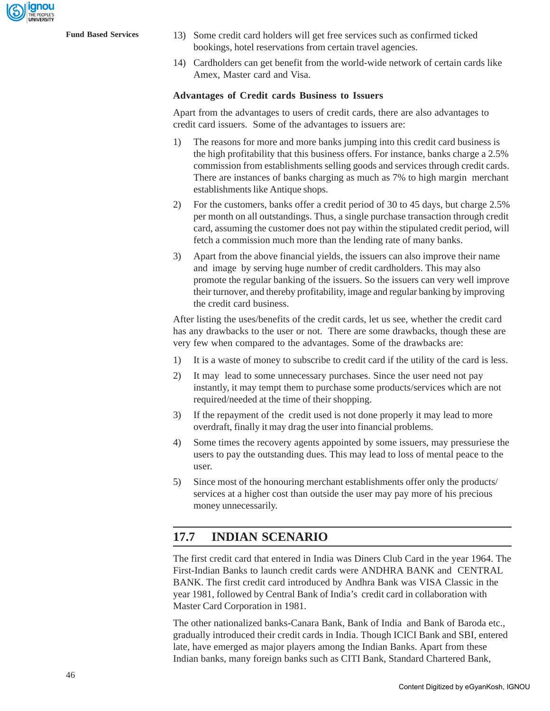- **Fund Based Services** 13) Some credit card holders will get free services such as confirmed ticked bookings, hotel reservations from certain travel agencies.
	- 14) Cardholders can get benefit from the world-wide network of certain cards like Amex, Master card and Visa.

## **Advantages of Credit cards Business to Issuers**

Apart from the advantages to users of credit cards, there are also advantages to credit card issuers. Some of the advantages to issuers are:

- 1) The reasons for more and more banks jumping into this credit card business is the high profitability that this business offers. For instance, banks charge a 2.5% commission from establishments selling goods and services through credit cards. There are instances of banks charging as much as 7% to high margin merchant establishments like Antique shops.
- 2) For the customers, banks offer a credit period of 30 to 45 days, but charge 2.5% per month on all outstandings. Thus, a single purchase transaction through credit card, assuming the customer does not pay within the stipulated credit period, will fetch a commission much more than the lending rate of many banks.
- 3) Apart from the above financial yields, the issuers can also improve their name and image by serving huge number of credit cardholders. This may also promote the regular banking of the issuers. So the issuers can very well improve their turnover, and thereby profitability, image and regular banking by improving the credit card business.

After listing the uses/benefits of the credit cards, let us see, whether the credit card has any drawbacks to the user or not. There are some drawbacks, though these are very few when compared to the advantages. Some of the drawbacks are:

- 1) It is a waste of money to subscribe to credit card if the utility of the card is less.
- 2) It may lead to some unnecessary purchases. Since the user need not pay instantly, it may tempt them to purchase some products/services which are not required/needed at the time of their shopping.
- 3) If the repayment of the credit used is not done properly it may lead to more overdraft, finally it may drag the user into financial problems.
- 4) Some times the recovery agents appointed by some issuers, may pressuriese the users to pay the outstanding dues. This may lead to loss of mental peace to the user.
- 5) Since most of the honouring merchant establishments offer only the products/ services at a higher cost than outside the user may pay more of his precious money unnecessarily.

# **17.7 INDIAN SCENARIO**

The first credit card that entered in India was Diners Club Card in the year 1964. The First-Indian Banks to launch credit cards were ANDHRA BANK and CENTRAL BANK. The first credit card introduced by Andhra Bank was VISA Classic in the year 1981, followed by Central Bank of India's credit card in collaboration with Master Card Corporation in 1981.

The other nationalized banks-Canara Bank, Bank of India and Bank of Baroda etc., gradually introduced their credit cards in India. Though ICICI Bank and SBI, entered late, have emerged as major players among the Indian Banks. Apart from these Indian banks, many foreign banks such as CITI Bank, Standard Chartered Bank,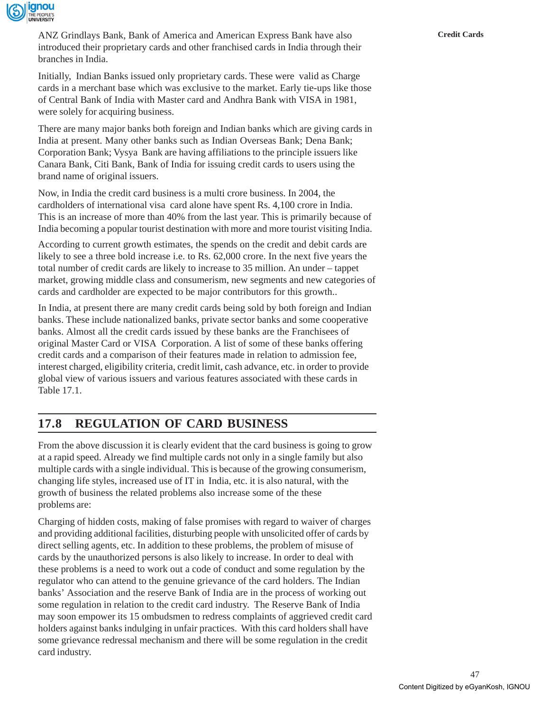

ANZ Grindlays Bank, Bank of America and American Express Bank have also **Credit Cards** introduced their proprietary cards and other franchised cards in India through their branches in India.

Initially, Indian Banks issued only proprietary cards. These were valid as Charge cards in a merchant base which was exclusive to the market. Early tie-ups like those of Central Bank of India with Master card and Andhra Bank with VISA in 1981, were solely for acquiring business.

There are many major banks both foreign and Indian banks which are giving cards in India at present. Many other banks such as Indian Overseas Bank; Dena Bank; Corporation Bank; Vysya Bank are having affiliations to the principle issuers like Canara Bank, Citi Bank, Bank of India for issuing credit cards to users using the brand name of original issuers.

Now, in India the credit card business is a multi crore business. In 2004, the cardholders of international visa card alone have spent Rs. 4,100 crore in India. This is an increase of more than 40% from the last year. This is primarily because of India becoming a popular tourist destination with more and more tourist visiting India.

According to current growth estimates, the spends on the credit and debit cards are likely to see a three bold increase i.e. to Rs. 62,000 crore. In the next five years the total number of credit cards are likely to increase to 35 million. An under – tappet market, growing middle class and consumerism, new segments and new categories of cards and cardholder are expected to be major contributors for this growth..

In India, at present there are many credit cards being sold by both foreign and Indian banks. These include nationalized banks, private sector banks and some cooperative banks. Almost all the credit cards issued by these banks are the Franchisees of original Master Card or VISA Corporation. A list of some of these banks offering credit cards and a comparison of their features made in relation to admission fee, interest charged, eligibility criteria, credit limit, cash advance, etc. in order to provide global view of various issuers and various features associated with these cards in Table 17.1.

# **17.8 REGULATION OF CARD BUSINESS**

From the above discussion it is clearly evident that the card business is going to grow at a rapid speed. Already we find multiple cards not only in a single family but also multiple cards with a single individual. This is because of the growing consumerism, changing life styles, increased use of IT in India, etc. it is also natural, with the growth of business the related problems also increase some of the these problems are:

Charging of hidden costs, making of false promises with regard to waiver of charges and providing additional facilities, disturbing people with unsolicited offer of cards by direct selling agents, etc. In addition to these problems, the problem of misuse of cards by the unauthorized persons is also likely to increase. In order to deal with these problems is a need to work out a code of conduct and some regulation by the regulator who can attend to the genuine grievance of the card holders. The Indian banks' Association and the reserve Bank of India are in the process of working out some regulation in relation to the credit card industry. The Reserve Bank of India may soon empower its 15 ombudsmen to redress complaints of aggrieved credit card holders against banks indulging in unfair practices. With this card holders shall have some grievance redressal mechanism and there will be some regulation in the credit card industry.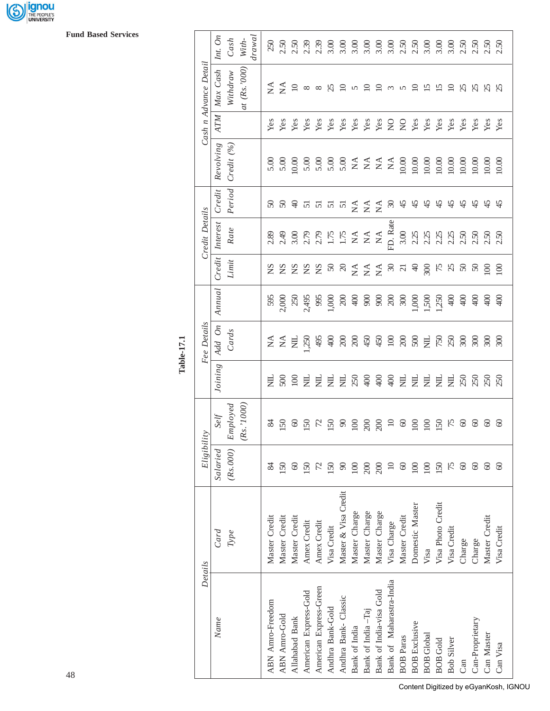

**Fund Based Services**

| ١  |
|----|
| r, |
|    |

|                       | Int. On         | Cash       | With-         | $d$ rawal | 250              |                      |                                                |                                         |                        |                  |                      |               |                        |                           |                          |                  |                      |                   |                   |                   |                                                        |                 |                   |                |
|-----------------------|-----------------|------------|---------------|-----------|------------------|----------------------|------------------------------------------------|-----------------------------------------|------------------------|------------------|----------------------|---------------|------------------------|---------------------------|--------------------------|------------------|----------------------|-------------------|-------------------|-------------------|--------------------------------------------------------|-----------------|-------------------|----------------|
| Cash n Advance Detail | Max Cash        | Withdraw   | at (Rs. '000) |           |                  |                      | $\sum_{i=1}^{n} \sum_{i=1}^{n} \sum_{i=1}^{n}$ |                                         | $\infty$               |                  | 25                   | 5             | $\epsilon$             |                           | $\Xi$ ന                  | 5                | $\Xi$                | 15                |                   |                   | 288888                                                 |                 |                   |                |
|                       | ATM             |            |               |           | Yes              | Yes                  | Yes                                            | Yes                                     | Yes                    | $\mathbf{Yes}$   | Yes                  |               | Yes<br>Yes             | $\mathbf{Yes}$            |                          | 228              |                      |                   |                   |                   | <b>Yes</b><br>Yes<br>Yes                               |                 | Yes<br>Yes<br>Yes |                |
|                       | Revolving       | Credit (%) |               |           | 5.00             |                      |                                                |                                         |                        |                  |                      |               |                        |                           |                          |                  |                      |                   |                   |                   | $\begin{array}{c} 10.00 \\ 10.00 \\ 10.00 \end{array}$ |                 |                   | 10.00          |
|                       | Credit          | Period     |               |           |                  |                      | <b>88 ទី ¤ ¤</b>                               |                                         |                        | $\overline{5}$ 5 |                      |               | $\widetilde{Z} \n\leq$ | $\mathbb{X}^{\mathsf{A}}$ | $\infty$                 | 45               | 45                   | 45                | $\frac{45}{5}$    | 45                | 45                                                     | 45              | $\frac{45}{5}$    | $\frac{4}{5}$  |
| Credit Details        | Interest        | Rate       |               |           |                  |                      |                                                |                                         |                        |                  |                      |               |                        | $\mathbb{X}^\mathbb{A}$   | FD. Rate                 | 3.00             |                      |                   |                   |                   |                                                        |                 |                   |                |
|                       | Credit          | Limit      |               |           |                  |                      | <b>22222</b>                                   |                                         |                        |                  | <u>ន</u> ន           |               |                        |                           |                          |                  |                      |                   |                   |                   |                                                        | $\delta$        | $rac{8}{2}$       |                |
|                       | Annual          |            |               |           | 595              | 2,000                | 250                                            | 2,495                                   |                        | 995<br>1,000     |                      |               |                        |                           |                          |                  |                      | 1,500             | 1,250             | $rac{1}{4}$       | $rac{1}{2}$                                            | $rac{1}{4}$     | $rac{1}{4}$       | $rac{1}{2}$    |
| Fee Details           | Add On          | Cards      |               |           |                  |                      | $\frac{3}{2}$ $\frac{5}{2}$ $\frac{1}{2}$      | .250                                    | 495                    |                  |                      |               |                        |                           |                          |                  |                      |                   |                   |                   | 300                                                    | 300             | 300               | 300            |
|                       | Joining         |            |               |           | 乬                | 500                  | $rac{8}{5}$                                    |                                         | 乬                      | E                | F 2 3 4 4 5 F        |               |                        |                           |                          |                  | $\overline{z}$       | E                 | E                 | 乬                 | 250                                                    | 250             | 250<br>250        |                |
|                       | Self            | Emplosed   | (Rs. '1000)   |           | $\mathfrak{A}$   | 50                   |                                                | $\begin{array}{c} 60 \\ 50 \end{array}$ | $\mathcal{L}$          | $\overline{50}$  | $\frac{90}{100}$     |               | 200                    | 200                       | $\approx$                | $\infty$         | 100                  | 100               | 150               | 75                | 60                                                     | 60              | $\infty$          | $\odot$        |
| Eligibility           | <b>Salaried</b> | (Rs.000)   |               |           | $\infty$         | 150                  | $^{\circ}$                                     | 150                                     | 52                     | 150              | g                    | $\Xi$         | $\approx$              | $\infty$                  | $\Xi$                    | 8                | $\Xi$                | $\Xi$             | 150               | 75                | $\circledcirc$                                         | $\circledcirc$  | $\circledcirc$    | $\circledcirc$ |
|                       | Card            | Type       |               |           | Master Credit    | Master Credit        | Master Credit                                  | Amex Credit                             | Amex Credit            | Visa Credit      | Master & Visa Credit | Master Charge | Master Charge          | Master Charge             | Visa Charge              | Master Credit    | Domestic Master      | Visa              | Visa Photo Credit | Visa Credit       | Charge                                                 | Charge          | Master Credit     | Visa Credit    |
| Details               | Name            |            |               |           | ABN Amro-Freedom | <b>ABN</b> Amro-Gold | Allahabad Bank                                 | American Express-Gold                   | American Express-Green | Andhra Bank-Gold | Andhra Bank-Classic  | Bank of India | Bank of India -Taj     | Bank of India-visa Gold   | Bank of Maharastra-India | <b>BOB</b> Paras | <b>BOB</b> Exclusive | <b>BOB</b> Global | <b>BOB</b> Gold   | <b>Bob Silver</b> | Can                                                    | Can-Proprietary | Can Master        | Can Visa       |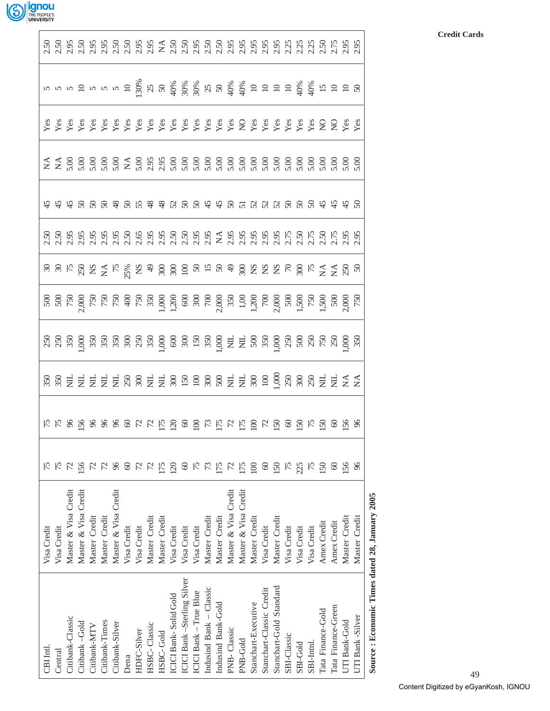

| 4 4 4 8 8 8 8 4 9 5 4 4 5 6 6 4 4 6 5 5 6 5 6 6 6 7 4 4 5<br>$\begin{array}{l} \mathcal{B} \mathcal{B} \mathcal{B} \mathcal{B} \mathcal{C} \mathcal{C} \mathcal{C} \mathcal{C} \mathcal{C} \mathcal{C} \mathcal{C} \mathcal{C} \mathcal{C} \mathcal{C} \mathcal{C} \mathcal{C} \mathcal{C} \mathcal{C} \mathcal{C} \mathcal{C} \mathcal{C} \mathcal{C} \mathcal{C} \mathcal{C} \mathcal{C} \mathcal{C} \mathcal{C} \mathcal{C} \mathcal{C} \mathcal{C} \mathcal{C} \mathcal{C} \mathcal{C} \mathcal{C} \mathcal{C} \mathcal$<br><u>្រសេន្តទីនេស្តស្រដី មិនដី ដូចទី ដូចទី ដូចទី ដូចទី និ</u><br>156<br>75<br>56<br>150<br>H<br>$\overline{50}$<br>$\circledast$<br>$\overline{20}$<br>8<br>8<br>225<br>Master & Visa Credit<br>Master & Visa Credit<br>Master & Visa Credit<br>Master & Visa Credit<br>Master & Visa Credit<br>Master Credit<br>Master Credit<br>Master Credit<br>Master Credit<br>Master Credit<br>Master Credit<br>Master Credit<br>Master Credit<br>Master Credit<br>Master Credit<br>Amex Credit<br>Amex Credit<br>Visa Credit<br>Visa Credit<br>Visa Credit<br>Visa Credit<br>Visa Credit<br>Visa Credit<br>Visa Credit<br>Visa Credit<br>Visa Credit<br>Visa Credit<br>Visa Credit<br>ICICI Bank-Sterling Silver<br>Stanchart-Gold Standard<br>Indusind Bank - Classic<br>Stanchart-Classic Credit<br>ICICI Bank - True Blue<br>ICICI Bank-Solid Gold<br>Indusind Bank-Gold<br>Stanchart-Executive<br>Tata Finance-Green<br>Tata Finance-Gold<br>UTI Bank-Silver<br>Citibank-Classic<br>UTI Bank-Gold<br>Citibank-Times<br>Citibank-Gold<br>Citibank-Silver<br>HSBC-Classic<br>Citibank-MTV<br>PNB-Classic<br>HDFC-Silver<br>HSBC-Gold<br>SBI-Classic<br>PNB-Gold<br>SBI-Intnl.<br>SBI-Gold<br>CBI Intl.<br>Central<br>Dena |  |  |  |  |  |  |  |
|--------------------------------------------------------------------------------------------------------------------------------------------------------------------------------------------------------------------------------------------------------------------------------------------------------------------------------------------------------------------------------------------------------------------------------------------------------------------------------------------------------------------------------------------------------------------------------------------------------------------------------------------------------------------------------------------------------------------------------------------------------------------------------------------------------------------------------------------------------------------------------------------------------------------------------------------------------------------------------------------------------------------------------------------------------------------------------------------------------------------------------------------------------------------------------------------------------------------------------------------------------------------------------------------------------------------------------------------------------------------------------------------------------------------------------------------------------------------------------------------------------------------------------------------------------------------------------------------------------------------------------------------------------------------------------------------------------------------------------------------------|--|--|--|--|--|--|--|
|                                                                                                                                                                                                                                                                                                                                                                                                                                                                                                                                                                                                                                                                                                                                                                                                                                                                                                                                                                                                                                                                                                                                                                                                                                                                                                                                                                                                                                                                                                                                                                                                                                                                                                                                                  |  |  |  |  |  |  |  |
|                                                                                                                                                                                                                                                                                                                                                                                                                                                                                                                                                                                                                                                                                                                                                                                                                                                                                                                                                                                                                                                                                                                                                                                                                                                                                                                                                                                                                                                                                                                                                                                                                                                                                                                                                  |  |  |  |  |  |  |  |
|                                                                                                                                                                                                                                                                                                                                                                                                                                                                                                                                                                                                                                                                                                                                                                                                                                                                                                                                                                                                                                                                                                                                                                                                                                                                                                                                                                                                                                                                                                                                                                                                                                                                                                                                                  |  |  |  |  |  |  |  |
|                                                                                                                                                                                                                                                                                                                                                                                                                                                                                                                                                                                                                                                                                                                                                                                                                                                                                                                                                                                                                                                                                                                                                                                                                                                                                                                                                                                                                                                                                                                                                                                                                                                                                                                                                  |  |  |  |  |  |  |  |
|                                                                                                                                                                                                                                                                                                                                                                                                                                                                                                                                                                                                                                                                                                                                                                                                                                                                                                                                                                                                                                                                                                                                                                                                                                                                                                                                                                                                                                                                                                                                                                                                                                                                                                                                                  |  |  |  |  |  |  |  |
|                                                                                                                                                                                                                                                                                                                                                                                                                                                                                                                                                                                                                                                                                                                                                                                                                                                                                                                                                                                                                                                                                                                                                                                                                                                                                                                                                                                                                                                                                                                                                                                                                                                                                                                                                  |  |  |  |  |  |  |  |
|                                                                                                                                                                                                                                                                                                                                                                                                                                                                                                                                                                                                                                                                                                                                                                                                                                                                                                                                                                                                                                                                                                                                                                                                                                                                                                                                                                                                                                                                                                                                                                                                                                                                                                                                                  |  |  |  |  |  |  |  |
|                                                                                                                                                                                                                                                                                                                                                                                                                                                                                                                                                                                                                                                                                                                                                                                                                                                                                                                                                                                                                                                                                                                                                                                                                                                                                                                                                                                                                                                                                                                                                                                                                                                                                                                                                  |  |  |  |  |  |  |  |
|                                                                                                                                                                                                                                                                                                                                                                                                                                                                                                                                                                                                                                                                                                                                                                                                                                                                                                                                                                                                                                                                                                                                                                                                                                                                                                                                                                                                                                                                                                                                                                                                                                                                                                                                                  |  |  |  |  |  |  |  |
|                                                                                                                                                                                                                                                                                                                                                                                                                                                                                                                                                                                                                                                                                                                                                                                                                                                                                                                                                                                                                                                                                                                                                                                                                                                                                                                                                                                                                                                                                                                                                                                                                                                                                                                                                  |  |  |  |  |  |  |  |
|                                                                                                                                                                                                                                                                                                                                                                                                                                                                                                                                                                                                                                                                                                                                                                                                                                                                                                                                                                                                                                                                                                                                                                                                                                                                                                                                                                                                                                                                                                                                                                                                                                                                                                                                                  |  |  |  |  |  |  |  |
|                                                                                                                                                                                                                                                                                                                                                                                                                                                                                                                                                                                                                                                                                                                                                                                                                                                                                                                                                                                                                                                                                                                                                                                                                                                                                                                                                                                                                                                                                                                                                                                                                                                                                                                                                  |  |  |  |  |  |  |  |
|                                                                                                                                                                                                                                                                                                                                                                                                                                                                                                                                                                                                                                                                                                                                                                                                                                                                                                                                                                                                                                                                                                                                                                                                                                                                                                                                                                                                                                                                                                                                                                                                                                                                                                                                                  |  |  |  |  |  |  |  |
|                                                                                                                                                                                                                                                                                                                                                                                                                                                                                                                                                                                                                                                                                                                                                                                                                                                                                                                                                                                                                                                                                                                                                                                                                                                                                                                                                                                                                                                                                                                                                                                                                                                                                                                                                  |  |  |  |  |  |  |  |
|                                                                                                                                                                                                                                                                                                                                                                                                                                                                                                                                                                                                                                                                                                                                                                                                                                                                                                                                                                                                                                                                                                                                                                                                                                                                                                                                                                                                                                                                                                                                                                                                                                                                                                                                                  |  |  |  |  |  |  |  |
|                                                                                                                                                                                                                                                                                                                                                                                                                                                                                                                                                                                                                                                                                                                                                                                                                                                                                                                                                                                                                                                                                                                                                                                                                                                                                                                                                                                                                                                                                                                                                                                                                                                                                                                                                  |  |  |  |  |  |  |  |
|                                                                                                                                                                                                                                                                                                                                                                                                                                                                                                                                                                                                                                                                                                                                                                                                                                                                                                                                                                                                                                                                                                                                                                                                                                                                                                                                                                                                                                                                                                                                                                                                                                                                                                                                                  |  |  |  |  |  |  |  |
|                                                                                                                                                                                                                                                                                                                                                                                                                                                                                                                                                                                                                                                                                                                                                                                                                                                                                                                                                                                                                                                                                                                                                                                                                                                                                                                                                                                                                                                                                                                                                                                                                                                                                                                                                  |  |  |  |  |  |  |  |
|                                                                                                                                                                                                                                                                                                                                                                                                                                                                                                                                                                                                                                                                                                                                                                                                                                                                                                                                                                                                                                                                                                                                                                                                                                                                                                                                                                                                                                                                                                                                                                                                                                                                                                                                                  |  |  |  |  |  |  |  |
|                                                                                                                                                                                                                                                                                                                                                                                                                                                                                                                                                                                                                                                                                                                                                                                                                                                                                                                                                                                                                                                                                                                                                                                                                                                                                                                                                                                                                                                                                                                                                                                                                                                                                                                                                  |  |  |  |  |  |  |  |
|                                                                                                                                                                                                                                                                                                                                                                                                                                                                                                                                                                                                                                                                                                                                                                                                                                                                                                                                                                                                                                                                                                                                                                                                                                                                                                                                                                                                                                                                                                                                                                                                                                                                                                                                                  |  |  |  |  |  |  |  |
|                                                                                                                                                                                                                                                                                                                                                                                                                                                                                                                                                                                                                                                                                                                                                                                                                                                                                                                                                                                                                                                                                                                                                                                                                                                                                                                                                                                                                                                                                                                                                                                                                                                                                                                                                  |  |  |  |  |  |  |  |
|                                                                                                                                                                                                                                                                                                                                                                                                                                                                                                                                                                                                                                                                                                                                                                                                                                                                                                                                                                                                                                                                                                                                                                                                                                                                                                                                                                                                                                                                                                                                                                                                                                                                                                                                                  |  |  |  |  |  |  |  |
|                                                                                                                                                                                                                                                                                                                                                                                                                                                                                                                                                                                                                                                                                                                                                                                                                                                                                                                                                                                                                                                                                                                                                                                                                                                                                                                                                                                                                                                                                                                                                                                                                                                                                                                                                  |  |  |  |  |  |  |  |
|                                                                                                                                                                                                                                                                                                                                                                                                                                                                                                                                                                                                                                                                                                                                                                                                                                                                                                                                                                                                                                                                                                                                                                                                                                                                                                                                                                                                                                                                                                                                                                                                                                                                                                                                                  |  |  |  |  |  |  |  |
|                                                                                                                                                                                                                                                                                                                                                                                                                                                                                                                                                                                                                                                                                                                                                                                                                                                                                                                                                                                                                                                                                                                                                                                                                                                                                                                                                                                                                                                                                                                                                                                                                                                                                                                                                  |  |  |  |  |  |  |  |
|                                                                                                                                                                                                                                                                                                                                                                                                                                                                                                                                                                                                                                                                                                                                                                                                                                                                                                                                                                                                                                                                                                                                                                                                                                                                                                                                                                                                                                                                                                                                                                                                                                                                                                                                                  |  |  |  |  |  |  |  |
|                                                                                                                                                                                                                                                                                                                                                                                                                                                                                                                                                                                                                                                                                                                                                                                                                                                                                                                                                                                                                                                                                                                                                                                                                                                                                                                                                                                                                                                                                                                                                                                                                                                                                                                                                  |  |  |  |  |  |  |  |

Source: Economic Times dated 28, January 2005 **Source : Economic Times dated 28, January 2005**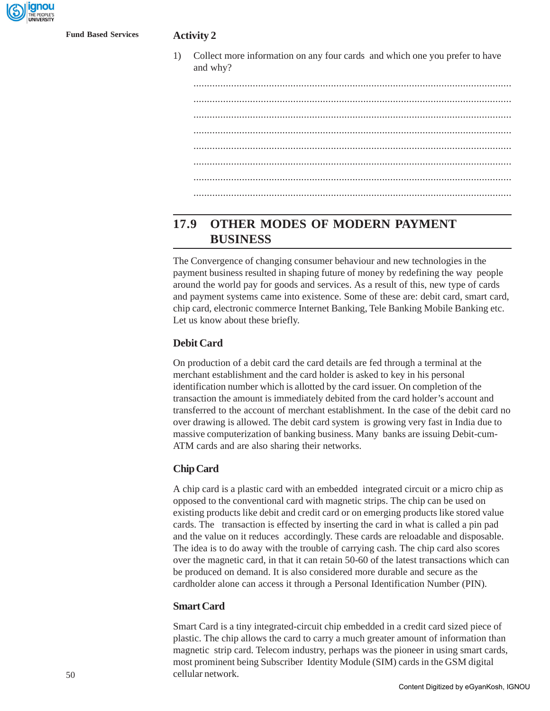

1) Collect more information on any four cards and which one you prefer to have and why?

...................................................................................................................... ...................................................................................................................... ...................................................................................................................... ...................................................................................................................... ...................................................................................................................... ...................................................................................................................... ...................................................................................................................... ......................................................................................................................

# **17.9 OTHER MODES OF MODERN PAYMENT BUSINESS**

The Convergence of changing consumer behaviour and new technologies in the payment business resulted in shaping future of money by redefining the way people around the world pay for goods and services. As a result of this, new type of cards and payment systems came into existence. Some of these are: debit card, smart card, chip card, electronic commerce Internet Banking, Tele Banking Mobile Banking etc. Let us know about these briefly.

## **Debit Card**

On production of a debit card the card details are fed through a terminal at the merchant establishment and the card holder is asked to key in his personal identification number which is allotted by the card issuer. On completion of the transaction the amount is immediately debited from the card holder's account and transferred to the account of merchant establishment. In the case of the debit card no over drawing is allowed. The debit card system is growing very fast in India due to massive computerization of banking business. Many banks are issuing Debit-cum-ATM cards and are also sharing their networks.

## **Chip Card**

A chip card is a plastic card with an embedded integrated circuit or a micro chip as opposed to the conventional card with magnetic strips. The chip can be used on existing products like debit and credit card or on emerging products like stored value cards. The transaction is effected by inserting the card in what is called a pin pad and the value on it reduces accordingly. These cards are reloadable and disposable. The idea is to do away with the trouble of carrying cash. The chip card also scores over the magnetic card, in that it can retain 50-60 of the latest transactions which can be produced on demand. It is also considered more durable and secure as the cardholder alone can access it through a Personal Identification Number (PIN).

#### **Smart Card**

Smart Card is a tiny integrated-circuit chip embedded in a credit card sized piece of plastic. The chip allows the card to carry a much greater amount of information than magnetic strip card. Telecom industry, perhaps was the pioneer in using smart cards, most prominent being Subscriber Identity Module (SIM) cards in the GSM digital cellular network.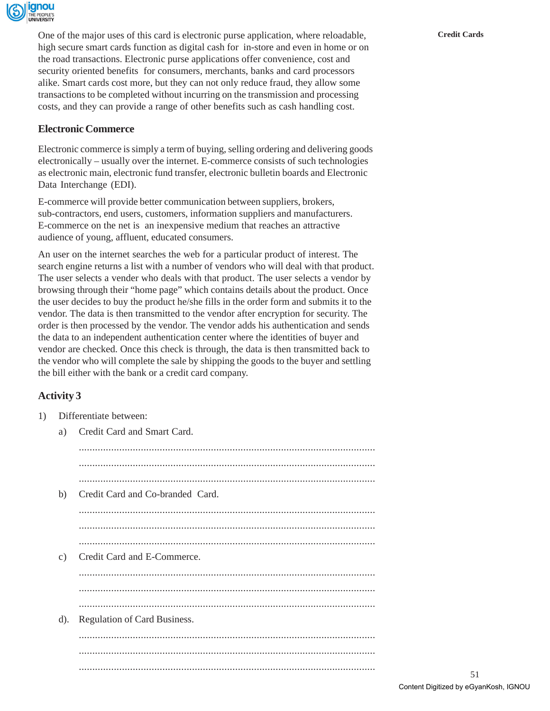

One of the major uses of this card is electronic purse application, where reloadable, **Credit Cards** high secure smart cards function as digital cash for in-store and even in home or on the road transactions. Electronic purse applications offer convenience, cost and security oriented benefits for consumers, merchants, banks and card processors alike. Smart cards cost more, but they can not only reduce fraud, they allow some transactions to be completed without incurring on the transmission and processing costs, and they can provide a range of other benefits such as cash handling cost.

## **Electronic Commerce**

Electronic commerce is simply a term of buying, selling ordering and delivering goods electronically – usually over the internet. E-commerce consists of such technologies as electronic main, electronic fund transfer, electronic bulletin boards and Electronic Data Interchange (EDI).

E-commerce will provide better communication between suppliers, brokers, sub-contractors, end users, customers, information suppliers and manufacturers. E-commerce on the net is an inexpensive medium that reaches an attractive audience of young, affluent, educated consumers.

An user on the internet searches the web for a particular product of interest. The search engine returns a list with a number of vendors who will deal with that product. The user selects a vender who deals with that product. The user selects a vendor by browsing through their "home page" which contains details about the product. Once the user decides to buy the product he/she fills in the order form and submits it to the vendor. The data is then transmitted to the vendor after encryption for security. The order is then processed by the vendor. The vendor adds his authentication and sends the data to an independent authentication center where the identities of buyer and vendor are checked. Once this check is through, the data is then transmitted back to the vendor who will complete the sale by shipping the goods to the buyer and settling the bill either with the bank or a credit card company.

# **Activity 3**

| 1) |         | Differentiate between:           |
|----|---------|----------------------------------|
|    | a)      | Credit Card and Smart Card.      |
|    |         |                                  |
|    |         |                                  |
|    |         |                                  |
|    | b)      | Credit Card and Co-branded Card. |
|    |         |                                  |
|    |         |                                  |
|    |         | .                                |
|    | c)      | Credit Card and E-Commerce.      |
|    |         |                                  |
|    |         |                                  |
|    |         |                                  |
|    | $(d)$ . | Regulation of Card Business.     |
|    |         |                                  |
|    |         |                                  |
|    |         |                                  |
|    |         |                                  |